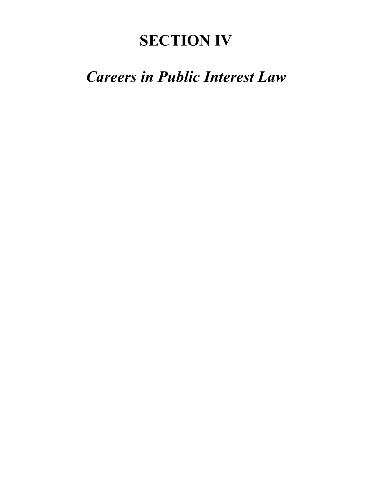# **SECTION IV**

## *Careers in Public Interest Law*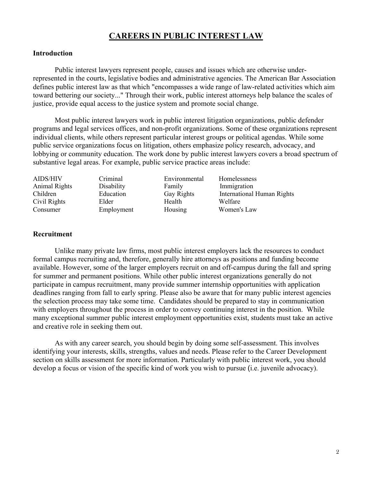## **CAREERS IN PUBLIC INTEREST LAW**

#### **Introduction**

Public interest lawyers represent people, causes and issues which are otherwise underrepresented in the courts, legislative bodies and administrative agencies. The American Bar Association defines public interest law as that which "encompasses a wide range of law-related activities which aim toward bettering our society..." Through their work, public interest attorneys help balance the scales of justice, provide equal access to the justice system and promote social change.

Most public interest lawyers work in public interest litigation organizations, public defender programs and legal services offices, and non-profit organizations. Some of these organizations represent individual clients, while others represent particular interest groups or political agendas. While some public service organizations focus on litigation, others emphasize policy research, advocacy, and lobbying or community education. The work done by public interest lawyers covers a broad spectrum of substantive legal areas. For example, public service practice areas include:

| Animal Rights<br>Disability<br>Immigration<br>Family<br>Education<br><b>International Human Rights</b><br>Children<br><b>Gay Rights</b><br>Civil Rights<br>Elder<br>Health<br>Welfare |  |
|---------------------------------------------------------------------------------------------------------------------------------------------------------------------------------------|--|
|                                                                                                                                                                                       |  |
|                                                                                                                                                                                       |  |
|                                                                                                                                                                                       |  |
| Housing<br>Employment<br>Women's Law<br>Consumer                                                                                                                                      |  |

#### **Recruitment**

Unlike many private law firms, most public interest employers lack the resources to conduct formal campus recruiting and, therefore, generally hire attorneys as positions and funding become available. However, some of the larger employers recruit on and off-campus during the fall and spring for summer and permanent positions. While other public interest organizations generally do not participate in campus recruitment, many provide summer internship opportunities with application deadlines ranging from fall to early spring. Please also be aware that for many public interest agencies the selection process may take some time. Candidates should be prepared to stay in communication with employers throughout the process in order to convey continuing interest in the position. While many exceptional summer public interest employment opportunities exist, students must take an active and creative role in seeking them out.

As with any career search, you should begin by doing some self-assessment. This involves identifying your interests, skills, strengths, values and needs. Please refer to the Career Development section on skills assessment for more information. Particularly with public interest work, you should develop a focus or vision of the specific kind of work you wish to pursue (i.e. juvenile advocacy).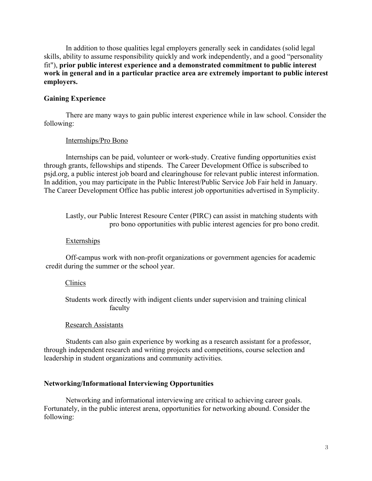In addition to those qualities legal employers generally seek in candidates (solid legal skills, ability to assume responsibility quickly and work independently, and a good "personality fit"), **prior public interest experience and a demonstrated commitment to public interest work in general and in a particular practice area are extremely important to public interest employers.**

#### **Gaining Experience**

There are many ways to gain public interest experience while in law school. Consider the following:

#### Internships/Pro Bono

Internships can be paid, volunteer or work-study. Creative funding opportunities exist through grants, fellowships and stipends. The Career Development Office is subscribed to psjd.org, a public interest job board and clearinghouse for relevant public interest information. In addition, you may participate in the Public Interest/Public Service Job Fair held in January. The Career Development Office has public interest job opportunities advertised in Symplicity.

Lastly, our Public Interest Resoure Center (PIRC) can assist in matching students with pro bono opportunities with public interest agencies for pro bono credit.

#### **Externships**

Off-campus work with non-profit organizations or government agencies for academic credit during the summer or the school year.

#### Clinics

Students work directly with indigent clients under supervision and training clinical faculty

#### Research Assistants

Students can also gain experience by working as a research assistant for a professor, through independent research and writing projects and competitions, course selection and leadership in student organizations and community activities.

#### **Networking/Informational Interviewing Opportunities**

Networking and informational interviewing are critical to achieving career goals. Fortunately, in the public interest arena, opportunities for networking abound. Consider the following: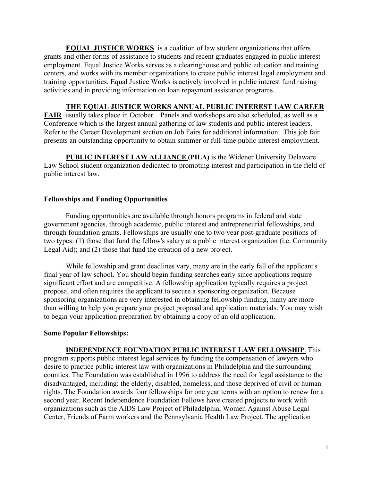**EQUAL JUSTICE WORKS** is a coalition of law student organizations that offers grants and other forms of assistance to students and recent graduates engaged in public interest employment. Equal Justice Works serves as a clearinghouse and public education and training centers, and works with its member organizations to create public interest legal employment and training opportunities. Equal Justice Works is actively involved in public interest fund raising activities and in providing information on loan repayment assistance programs.

## **THE EQUAL JUSTICE WORKS ANNUAL PUBLIC INTEREST LAW CAREER**

**FAIR** usually takes place in October. Panels and workshops are also scheduled, as well as a Conference which is the largest annual gathering of law students and public interest leaders. Refer to the Career Development section on Job Fairs for additional information. This job fair presents an outstanding opportunity to obtain summer or full-time public interest employment.

**PUBLIC INTEREST LAW ALLIANCE (PILA)** is the Widener University Delaware Law School student organization dedicated to promoting interest and participation in the field of public interest law.

## **Fellowships and Funding Opportunities**

Funding opportunities are available through honors programs in federal and state government agencies, through academic, public interest and entrepreneurial fellowships, and through foundation grants. Fellowships are usually one to two year post-graduate positions of two types: (1) those that fund the fellow's salary at a public interest organization (i.e. Community Legal Aid); and (2) those that fund the creation of a new project.

While fellowship and grant deadlines vary, many are in the early fall of the applicant's final year of law school. You should begin funding searches early since applications require significant effort and are competitive. A fellowship application typically requires a project proposal and often requires the applicant to secure a sponsoring organization. Because sponsoring organizations are very interested in obtaining fellowship funding, many are more than willing to help you prepare your project proposal and application materials. You may wish to begin your application preparation by obtaining a copy of an old application.

#### **Some Popular Fellowships:**

## **INDEPENDENCE FOUNDATION PUBLIC INTEREST LAW FELLOWSHIP**. This

program supports public interest legal services by funding the compensation of lawyers who desire to practice public interest law with organizations in Philadelphia and the surrounding counties. The Foundation was established in 1996 to address the need for legal assistance to the disadvantaged, including; the elderly, disabled, homeless, and those deprived of civil or human rights. The Foundation awards four fellowships for one year terms with an option to renew for a second year. Recent Independence Foundation Fellows have created projects to work with organizations such as the AIDS Law Project of Philadelphia, Women Against Abuse Legal Center, Friends of Farm workers and the Pennsylvania Health Law Project. The application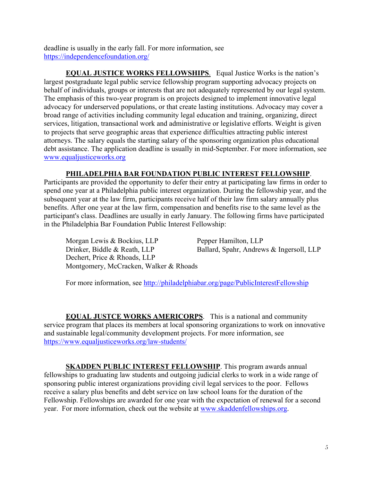deadline is usually in the early fall. For more information, see https://independencefoundation.org/

**EQUAL JUSTICE WORKS FELLOWSHIPS**. Equal Justice Works is the nation's largest postgraduate legal public service fellowship program supporting advocacy projects on behalf of individuals, groups or interests that are not adequately represented by our legal system. The emphasis of this two-year program is on projects designed to implement innovative legal advocacy for underserved populations, or that create lasting institutions. Advocacy may cover a broad range of activities including community legal education and training, organizing, direct services, litigation, transactional work and administrative or legislative efforts. Weight is given to projects that serve geographic areas that experience difficulties attracting public interest attorneys. The salary equals the starting salary of the sponsoring organization plus educational debt assistance. The application deadline is usually in mid-September. For more information, see www.equaljusticeworks.org

## **PHILADELPHIA BAR FOUNDATION PUBLIC INTEREST FELLOWSHIP**.

Participants are provided the opportunity to defer their entry at participating law firms in order to spend one year at a Philadelphia public interest organization. During the fellowship year, and the subsequent year at the law firm, participants receive half of their law firm salary annually plus benefits. After one year at the law firm, compensation and benefits rise to the same level as the participant's class. Deadlines are usually in early January. The following firms have participated in the Philadelphia Bar Foundation Public Interest Fellowship:

Morgan Lewis & Bockius, LLP Pepper Hamilton, LLP Drinker, Biddle & Reath, LLP Ballard, Spahr, Andrews & Ingersoll, LLP Dechert, Price & Rhoads, LLP Montgomery, McCracken, Walker & Rhoads

For more information, see http://philadelphiabar.org/page/PublicInterestFellowship

**EQUAL JUSTCE WORKS AMERICORPS**. This is a national and community service program that places its members at local sponsoring organizations to work on innovative and sustainable legal/community development projects. For more information, see https://www.equaljusticeworks.org/law-students/

**SKADDEN PUBLIC INTEREST FELLOWSHIP**. This program awards annual fellowships to graduating law students and outgoing judicial clerks to work in a wide range of sponsoring public interest organizations providing civil legal services to the poor. Fellows receive a salary plus benefits and debt service on law school loans for the duration of the Fellowship. Fellowships are awarded for one year with the expectation of renewal for a second year. For more information, check out the website at www.skaddenfellowships.org.